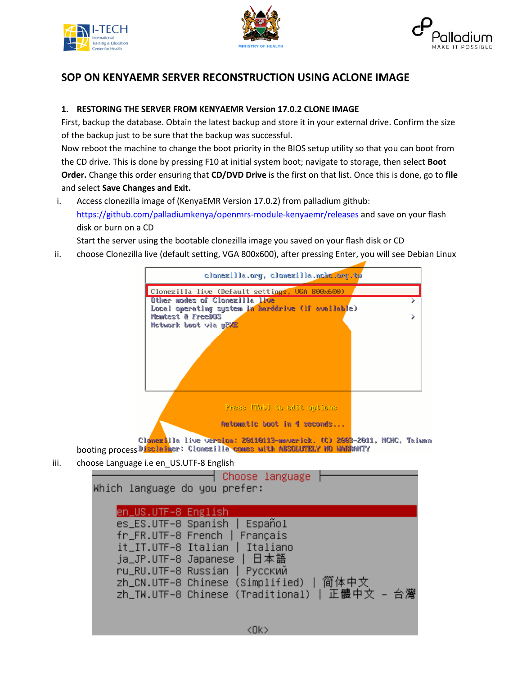





## **SOP ON KENYAEMR SERVER RECONSTRUCTION USING ACLONE IMAGE**

## **1. RESTORING THE SERVER FROM KENYAEMR Version 17.0.2 CLONE IMAGE**

First, backup the database. Obtain the latest backup and store it in your external drive. Confirm the size of the backup just to be sure that the backup was successful.

Now reboot the machine to change the boot priority in the BIOS setup utility so that you can boot from the CD drive. This is done by pressing F10 at initial system boot; navigate to storage, then select **Boot Order.** Change this order ensuring that **CD/DVD Drive** is the first on that list. Once this is done, go to **file**  and select **Save Changes and Exit.** 

i. Access clonezilla image of (KenyaEMR Version 17.0.2) from palladium github: <https://github.com/palladiumkenya/openmrs-module-kenyaemr/releases> and save on your flash disk or burn on a CD

Start the server using the bootable clonezilla image you saved on your flash disk or CD

ii. choose Clonezilla live (default setting, VGA 800x600), after pressing Enter, you will see Debian Linux



- booting process Disclaimer: Clomezilla comes with ABSOLUTELY NO WARRANTY
- iii. choose Language i.e en\_US.UTF-8 English

↑ Choose language Which language do you prefer: en\_US.UTF-8 English es\_ES.UTF–8 Spanish | Español fr\_FR.UTF-8 French | Français it\_IT.UTF–8 Italian | Italiano ja\_JP.UTF-8 Japanese | 日本語 ru\_RU.UTF–8 Russian | Русский zh\_CN.UTF-8 Chinese (Simplified) | 简体中文 - 台灣 zh\_TW.UTF-8 Chinese (Traditional) | 正體中文 <Ok>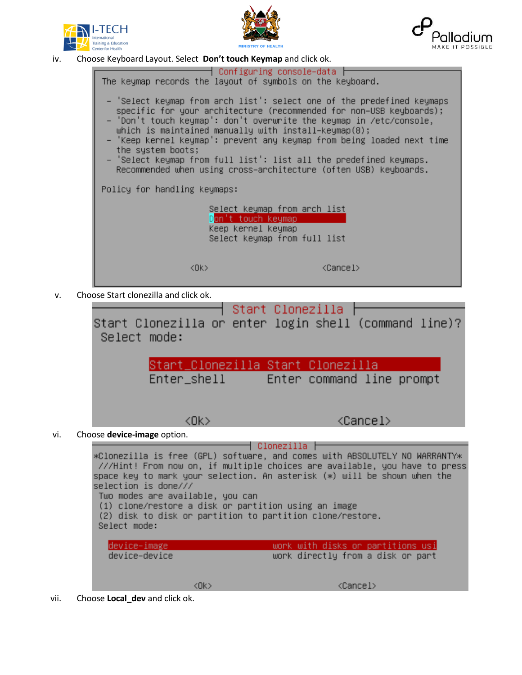





iv. Choose Keyboard Layout. Select **Don't touch Keymap** and click ok.



v. Choose Start clonezilla and click ok.

Start Clonezilla | Start Clonezilla or enter login shell (command line)? Select mode: Start\_Clonezilla Start Clonezilla Enter\_shell Enter command line prompt <Cancel>  $CDK$ vi. Choose **device-image** option. ┤ Clonezilla ├ \*Clonezilla is free (GPL) software, and comes with ABSOLUTELY NO WARRANTY\* ///Hint! From now on, if multiple choices are available, you have to press space key to mark your selection. An asterisk (\*) will be shown when the selection is done/// Two modes are available, you can (1) clone/restore a disk or partition using an image (2) disk to disk or partition to partition clone/restore. Select mode:

device−image work with disks or partitions usi device-device work directly from a disk or part

 $<$ O $k$  $>$ 

<Cancel>

vii. Choose **Local\_dev** and click ok.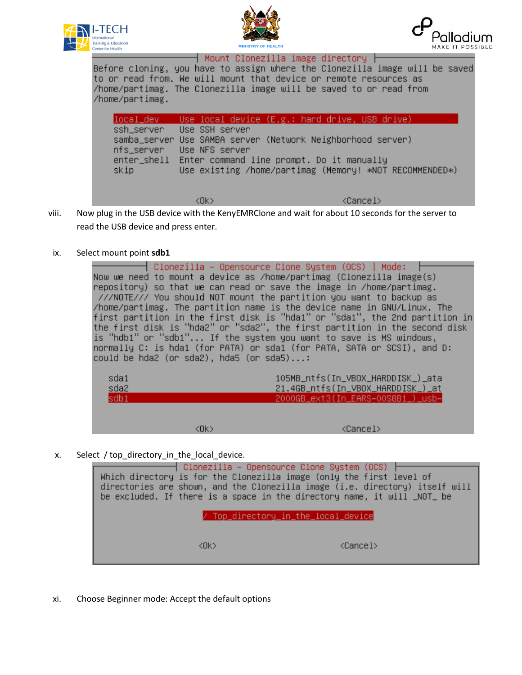





Mount Clonezilla image directory h Before cloning, you have to assign where the Clonezilla image will be saved to or read from. We will mount that device or remote resources as /home/partimag. The Clonezilla image will be saved to or read from /home/partimag.

|                                  |                                  | local_dev Use local device (E.g.: hard drive, USB drive)                                                                                                                        |
|----------------------------------|----------------------------------|---------------------------------------------------------------------------------------------------------------------------------------------------------------------------------|
| ssh_server<br>nfs_server<br>skip | Use SSH server<br>Use NFS server | samba_server Use SAMBA server (Network Neighborhood server)<br>enter_shell Enter command line prompt. Do it manually<br>Use existing /home/partimag (Memory! *NOT RECOMMENDED*) |
|                                  | <b><ok></ok></b>                 | <cancel></cancel>                                                                                                                                                               |

- viii. Now plug in the USB device with the KenyEMRClone and wait for about 10 seconds for the server to read the USB device and press enter.
- ix. Select mount point **sdb1**

│ Clonezilla – Opensource Clone System (OCS) │ Mode: Now we need to mount a device as /home/partimag (Clonezilla image(s) repository) so that we can read or save the image in /home/partimag. ///NOTE/// You should NOT mount the partition you want to backup as /home/partimag. The partition name is the device name in GNU/Linux. The first partition in the first disk is "hda1" or "sda1", the 2nd partition in<br>the first disk is "hda2" or "sda2", the first partition in the second disk is "hdb1" or "sdb1"... If the system you want to save is MS windows, normally C: is hda1 (for PATA) or sda1 (for PATA, SATA or SCSI), and D: could be hda2 (or sda2), hda5 (or sda5)...:

| sda1<br>sda2<br>sdb1 |      | 105MB_ntfs(In_VBOX_HARDDISK_)_ata<br>21.4GB_ntfs(In_VBOX_HARDDISK_)_at<br>2000GB_ext3(In_EARS-00S8B1_)_usb- |
|----------------------|------|-------------------------------------------------------------------------------------------------------------|
|                      | (Nk) | <cancel></cancel>                                                                                           |

x. Select / top\_directory\_in\_the\_local\_device.

|                                     |           | ┤ Clonezilla – Opensource Clone System (OCS)<br>Which directory is for the Clonezilla image (only the first level of<br>directories are shown, and the Clonezilla image (i.e. directory) itself will<br>be excluded. If there is a space in the directory name, it will _NOT_ be |
|-------------------------------------|-----------|----------------------------------------------------------------------------------------------------------------------------------------------------------------------------------------------------------------------------------------------------------------------------------|
| / Top_directory_in_the_local_device |           |                                                                                                                                                                                                                                                                                  |
|                                     | <ok></ok> | <cancel></cancel>                                                                                                                                                                                                                                                                |

xi. Choose Beginner mode: Accept the default options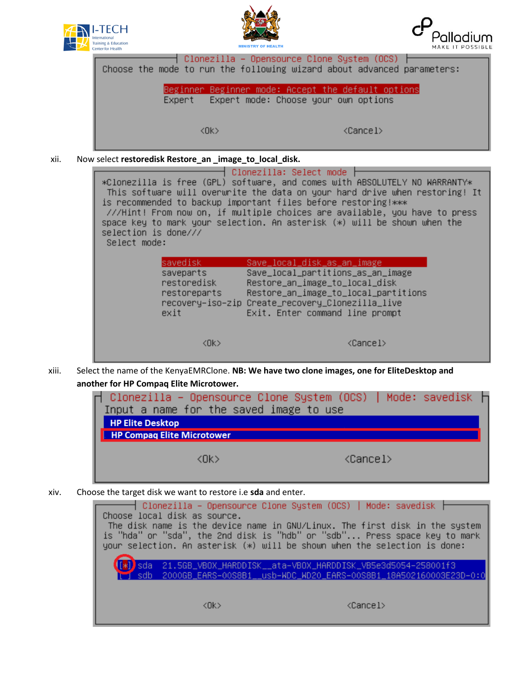





| Clonezilla – Opensource Clone System (OCS)  <br>Choose the mode to run the following wizard about advanced parameters: |  |
|------------------------------------------------------------------------------------------------------------------------|--|
| Beginner Beginner mode: Accept the default options<br>Expert mode: Choose your own options<br>Expert                   |  |
|                                                                                                                        |  |
| $\langle$ Ok $\rangle$<br><cancel></cancel>                                                                            |  |

xii. Now select **restoredisk Restore\_an \_image\_to\_local\_disk.**

| selection is done///<br>Select mode: |                                                              | Clonezilla: Select mode<br>is recommended to backup important files before restoring!***                                                                                                                                          | *Clonezilla is free (GPL) software, and comes with ABSOLUTELY NO WARRANTY*<br>This software will overwrite the data on your hard drive when restoring! It<br>///Hint! From now on, if multiple choices are available, you have to press<br>space key to mark your selection. An asterisk (*) will be shown when the |
|--------------------------------------|--------------------------------------------------------------|-----------------------------------------------------------------------------------------------------------------------------------------------------------------------------------------------------------------------------------|---------------------------------------------------------------------------------------------------------------------------------------------------------------------------------------------------------------------------------------------------------------------------------------------------------------------|
|                                      | savedisk<br>saveparts<br>restoredisk<br>restoreparts<br>exit | Save_local_disk_as_an_image<br>Save_local_partitions_as_an_image<br>Restore_an_image_to_local_disk<br>Restore_an_image_to_local_partitions<br>recovery-iso-zip Create_recovery_Clonezilla_live<br>Exit. Enter command line prompt |                                                                                                                                                                                                                                                                                                                     |
|                                      | <ok></ok>                                                    |                                                                                                                                                                                                                                   | <cancel></cancel>                                                                                                                                                                                                                                                                                                   |

xiii. Select the name of the KenyaEMRClone. **NB: We have two clone images, one for EliteDesktop and another for HP Compaq Elite Microtower.**

| ┌ Clonezilla – Opensource Clone System (OCS)   Mode: savedisk ├<br>Input a name for the saved image to use<br><b>HP Elite Desktop</b><br><b>HP Compag Elite Microtower</b> |                   |
|----------------------------------------------------------------------------------------------------------------------------------------------------------------------------|-------------------|
| ∢∏k >                                                                                                                                                                      | <cancel></cancel> |

xiv. Choose the target disk we want to restore i.e **sda** and enter.

| Choose local disk as source. | ┤ Clonezilla – Opensource Clone System (OCS) │ Mode: savedisk ├<br>The disk name is the device name in GNU/Linux. The first disk in the system<br>is "hda" or "sda", the 2nd disk is "hdb" or "sdb" Press space key to mark<br>your selection. An asterisk $(*)$ will be shown when the selection is done: |
|------------------------------|------------------------------------------------------------------------------------------------------------------------------------------------------------------------------------------------------------------------------------------------------------------------------------------------------------|
|                              | 21.5GB_VBOX_HARDDISK__ata-VBOX_HARDDISK_VB5e3d5054-258001f3                                                                                                                                                                                                                                                |
| <nk></nk>                    | <cancel></cancel>                                                                                                                                                                                                                                                                                          |